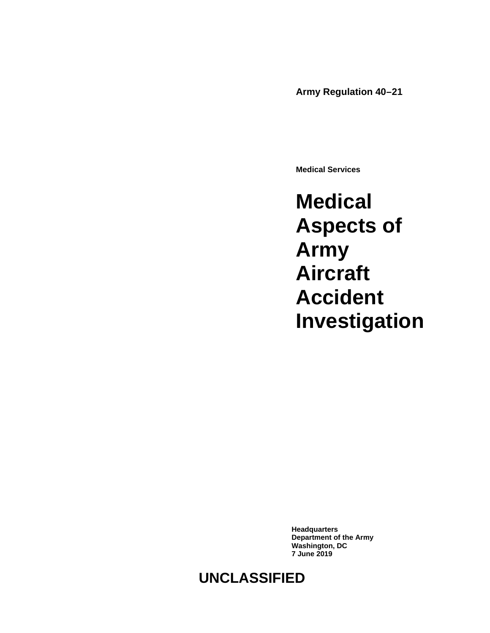**Army Regulation 40–21**

**Medical Services**

**Medical Aspects of Army Aircraft Accident Investigation**

**Headquarters Department of the Army Washington, DC 7 June 2019**

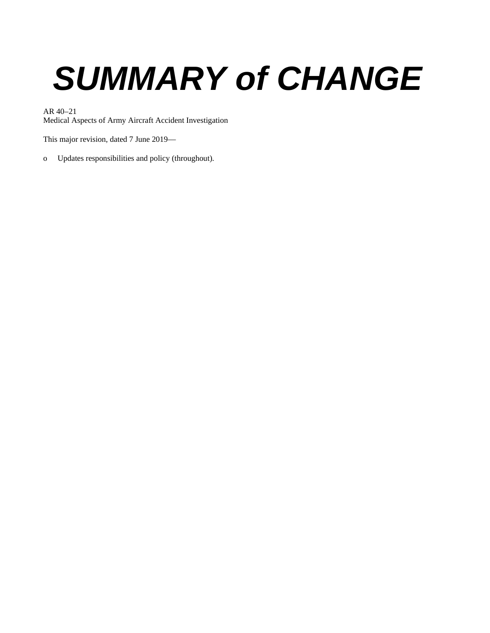# *SUMMARY of CHANGE*

AR 40–21

Medical Aspects of Army Aircraft Accident Investigation

This major revision, dated 7 June 2019—

o Updates responsibilities and policy (throughout).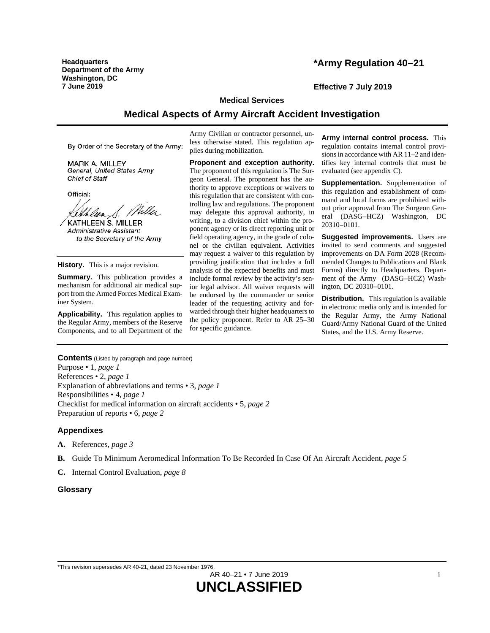**Headquarters Department of the Army Washington, DC 7 June 2019 Effective 7 July 2019**

# **\*Army Regulation 40–21**

#### **Medical Services**

# **Medical Aspects of Army Aircraft Accident Investigation**

By Order of the Secretary of the Army:

**MARK A. MILLEY** General, United States Army Chief of Staff

Official:

Lithlan S. Miller

**KATHLEEN S. MILLER** Administrative Assistant to the Secretary of the Army

**History.** This is a major revision.

**Summary.** This publication provides a mechanism for additional air medical support from the Armed Forces Medical Examiner System.

**Applicability.** This regulation applies to the Regular Army, members of the Reserve Components, and to all Department of the Army Civilian or contractor personnel, unless otherwise stated. This regulation applies during mobilization.

**Proponent and exception authority.** The proponent of this regulation is The Surgeon General. The proponent has the authority to approve exceptions or waivers to this regulation that are consistent with controlling law and regulations. The proponent may delegate this approval authority, in writing, to a division chief within the proponent agency or its direct reporting unit or field operating agency, in the grade of colonel or the civilian equivalent. Activities may request a waiver to this regulation by providing justification that includes a full analysis of the expected benefits and must include formal review by the activity's senior legal advisor. All waiver requests will be endorsed by the commander or senior leader of the requesting activity and forwarded through their higher headquarters to the policy proponent. Refer to AR 25–30 for specific guidance.

**Army internal control process.** This regulation contains internal control provisions in accordance with AR 11–2 and identifies key internal controls that must be evaluated (se[e appendix](#page-11-0) C).

**Supplementation.** Supplementation of this regulation and establishment of command and local forms are prohibited without prior approval from The Surgeon General (DASG–HCZ) Washington, DC 20310–0101.

**Suggested improvements.** Users are invited to send comments and suggested improvements on DA Form 2028 (Recommended Changes to Publications and Blank Forms) directly to Headquarters, Department of the Army (DASG–HCZ) Washington, DC 20310–0101.

**Distribution.** This regulation is available in electronic media only and is intended for the Regular Army, the Army National Guard/Army National Guard of the United States, and the U.S. Army Reserve.

**Contents** (Listed by paragraph and page number) Purpose • 1, *page [1](#page-4-0)* References • 2, *page [1](#page-4-1)* Explanation of abbreviations and terms • 3, *page [1](#page-4-2)* Responsibilities • 4, *page [1](#page-4-3)* Checklist for medical information on aircraft accidents • 5, *page [2](#page-5-0)* Preparation of reports • 6, *page [2](#page-5-1)*

#### **Appendixes**

- **A.** References, *page [3](#page-6-0)*
- **B.** Guide To Minimum Aeromedical Information To Be Recorded In Case Of An Aircraft Accident, *page [5](#page-8-0)*
- **C.** Internal Control Evaluation, *page [8](#page-11-0)*

#### **Glossary**

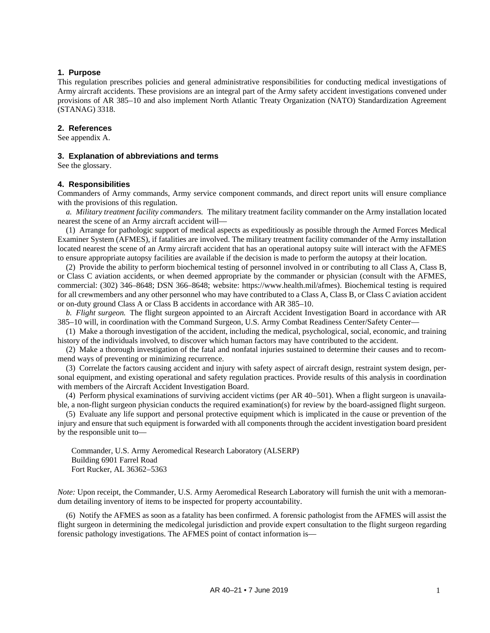#### <span id="page-4-0"></span>**1. Purpose**

This regulation prescribes policies and general administrative responsibilities for conducting medical investigations of Army aircraft accidents. These provisions are an integral part of the Army safety accident investigations convened under provisions of AR 385–10 and also implement North Atlantic Treaty Organization (NATO) Standardization Agreement (STANAG) 3318.

#### <span id="page-4-1"></span>**2. References**

<span id="page-4-2"></span>See [appendix A.](#page-6-0)

#### **3. Explanation of abbreviations and terms**

<span id="page-4-3"></span>See th[e glossary.](#page-12-0)

#### **4. Responsibilities**

Commanders of Army commands, Army service component commands, and direct report units will ensure compliance with the provisions of this regulation.

<span id="page-4-4"></span>*a. Military treatment facility commanders.* The military treatment facility commander on the Army installation located nearest the scene of an Army aircraft accident will—

(1) Arrange for pathologic support of medical aspects as expeditiously as possible through the Armed Forces Medical Examiner System (AFMES), if fatalities are involved. The military treatment facility commander of the Army installation located nearest the scene of an Army aircraft accident that has an operational autopsy suite will interact with the AFMES to ensure appropriate autopsy facilities are available if the decision is made to perform the autopsy at their location.

(2) Provide the ability to perform biochemical testing of personnel involved in or contributing to all Class A, Class B, or Class C aviation accidents, or when deemed appropriate by the commander or physician (consult with the AFMES, commercial: (302) 346–8648; DSN 366–8648; website: [https://www.health.mil/afmes\)](https://www.health.mil/afmes). Biochemical testing is required for all crewmembers and any other personnel who may have contributed to a Class A, Class B, or Class C aviation accident or on-duty ground Class A or Class B accidents in accordance with AR 385–10.

<span id="page-4-5"></span>*b. Flight surgeon.* The flight surgeon appointed to an Aircraft Accident Investigation Board in accordance with AR 385–10 will, in coordination with the Command Surgeon, U.S. Army Combat Readiness Center/Safety Center—

(1) Make a thorough investigation of the accident, including the medical, psychological, social, economic, and training history of the individuals involved, to discover which human factors may have contributed to the accident.

(2) Make a thorough investigation of the fatal and nonfatal injuries sustained to determine their causes and to recommend ways of preventing or minimizing recurrence.

(3) Correlate the factors causing accident and injury with safety aspect of aircraft design, restraint system design, personal equipment, and existing operational and safety regulation practices. Provide results of this analysis in coordination with members of the Aircraft Accident Investigation Board.

(4) Perform physical examinations of surviving accident victims (per AR 40–501). When a flight surgeon is unavailable, a non-flight surgeon physician conducts the required examination(s) for review by the board-assigned flight surgeon.

(5) Evaluate any life support and personal protective equipment which is implicated in the cause or prevention of the injury and ensure that such equipment is forwarded with all components through the accident investigation board president by the responsible unit to—

Commander, U.S. Army Aeromedical Research Laboratory (ALSERP) Building 6901 Farrel Road Fort Rucker, AL 36362–5363

*Note:* Upon receipt, the Commander, U.S. Army Aeromedical Research Laboratory will furnish the unit with a memorandum detailing inventory of items to be inspected for property accountability.

(6) Notify the AFMES as soon as a fatality has been confirmed. A forensic pathologist from the AFMES will assist the flight surgeon in determining the medicolegal jurisdiction and provide expert consultation to the flight surgeon regarding forensic pathology investigations. The AFMES point of contact information is—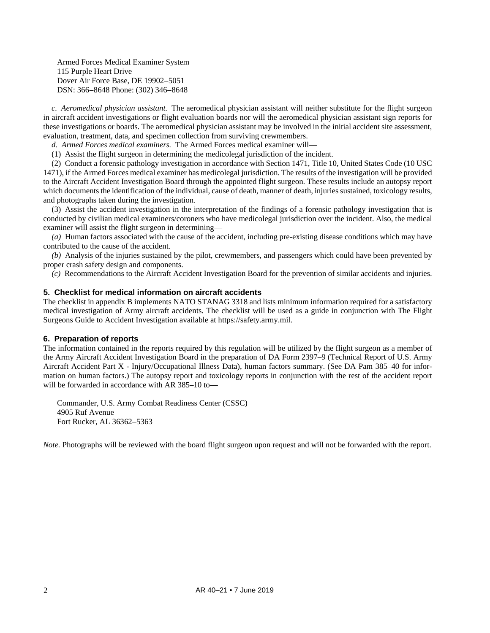Armed Forces Medical Examiner System 115 Purple Heart Drive Dover Air Force Base, DE 19902–5051 DSN: 366–8648 Phone: (302) 346–8648

*c. Aeromedical physician assistant.* The aeromedical physician assistant will neither substitute for the flight surgeon in aircraft accident investigations or flight evaluation boards nor will the aeromedical physician assistant sign reports for these investigations or boards. The aeromedical physician assistant may be involved in the initial accident site assessment, evaluation, treatment, data, and specimen collection from surviving crewmembers.

*d. Armed Forces medical examiners.* The Armed Forces medical examiner will—

(1) Assist the flight surgeon in determining the medicolegal jurisdiction of the incident.

(2) Conduct a forensic pathology investigation in accordance with Section 1471, Title 10, United States Code (10 USC 1471), if the Armed Forces medical examiner has medicolegal jurisdiction. The results of the investigation will be provided to the Aircraft Accident Investigation Board through the appointed flight surgeon. These results include an autopsy report which documents the identification of the individual, cause of death, manner of death, injuries sustained, toxicology results, and photographs taken during the investigation.

(3) Assist the accident investigation in the interpretation of the findings of a forensic pathology investigation that is conducted by civilian medical examiners/coroners who have medicolegal jurisdiction over the incident. Also, the medical examiner will assist the flight surgeon in determining—

*(a)* Human factors associated with the cause of the accident, including pre-existing disease conditions which may have contributed to the cause of the accident.

*(b)* Analysis of the injuries sustained by the pilot, crewmembers, and passengers which could have been prevented by proper crash safety design and components.

*(c)* Recommendations to the Aircraft Accident Investigation Board for the prevention of similar accidents and injuries.

#### <span id="page-5-0"></span>**5. Checklist for medical information on aircraft accidents**

The checklist i[n appendix B](#page-8-0) implements NATO STANAG 3318 and lists minimum information required for a satisfactory medical investigation of Army aircraft accidents. The checklist will be used as a guide in conjunction with The Flight Surgeons Guide to Accident Investigation available a[t https://safety.army.mil.](https://safety.army.mil/)

#### <span id="page-5-1"></span>**6. Preparation of reports**

The information contained in the reports required by this regulation will be utilized by the flight surgeon as a member of the Army Aircraft Accident Investigation Board in the preparation of DA Form 2397–9 (Technical Report of U.S. Army Aircraft Accident Part X - Injury/Occupational Illness Data), human factors summary. (See DA Pam 385–40 for information on human factors.) The autopsy report and toxicology reports in conjunction with the rest of the accident report will be forwarded in accordance with AR 385–10 to—

Commander, U.S. Army Combat Readiness Center (CSSC) 4905 Ruf Avenue Fort Rucker, AL 36362–5363

*Note.* Photographs will be reviewed with the board flight surgeon upon request and will not be forwarded with the report.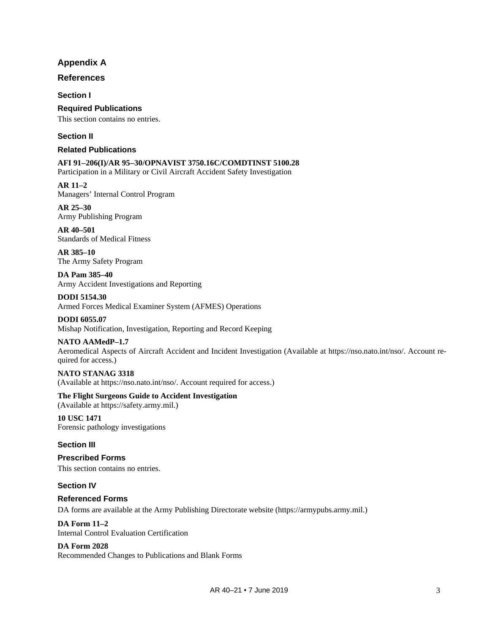# **Appendix A**

## <span id="page-6-0"></span>**References**

**Section I**

**Required Publications** This section contains no entries.

#### **Section II**

#### **Related Publications**

**AFI 91–206(I)/AR 95–30/OPNAVIST 3750.16C/COMDTINST 5100.28** Participation in a Military or Civil Aircraft Accident Safety Investigation

**AR 11–2** Managers' Internal Control Program

**AR 25–30** Army Publishing Program

**AR 40–501** Standards of Medical Fitness

**AR 385–10** The Army Safety Program

**DA Pam 385–40** Army Accident Investigations and Reporting

**DODI 5154.30** Armed Forces Medical Examiner System (AFMES) Operations

**DODI 6055.07** Mishap Notification, Investigation, Reporting and Record Keeping

#### **NATO AAMedP–1.7**

Aeromedical Aspects of Aircraft Accident and Incident Investigation (Available at [https://nso.nato.int/nso/.](https://nso.nato.int/nso/) Account required for access.)

**NATO STANAG 3318** (Available at [https://nso.nato.int/nso/.](https://nso.nato.int/nso/) Account required for access.)

**The Flight Surgeons Guide to Accident Investigation** (Available at [https://safety.army.mil.](https://safety.army.mil/))

**10 USC 1471** Forensic pathology investigations

## **Section III**

**Prescribed Forms** This section contains no entries.

**Section IV**

**Referenced Forms** DA forms are available at the Army Publishing Directorate website [\(https://armypubs.army.mil.](https://armypubs.army.mil/))

**DA Form 11–2** Internal Control Evaluation Certification

**DA Form 2028** Recommended Changes to Publications and Blank Forms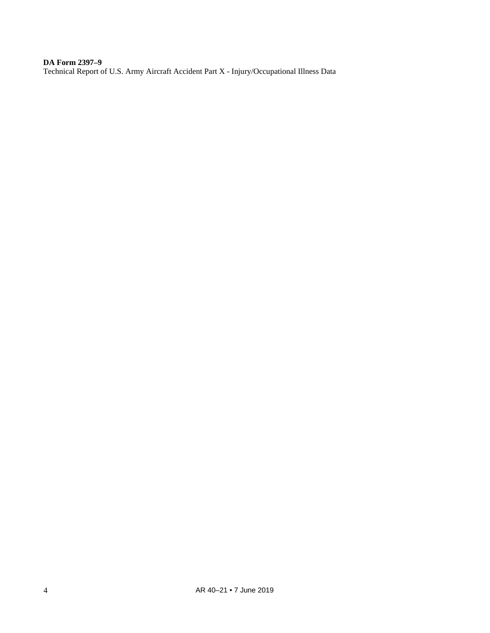**DA Form 2397–9** Technical Report of U.S. Army Aircraft Accident Part X - Injury/Occupational Illness Data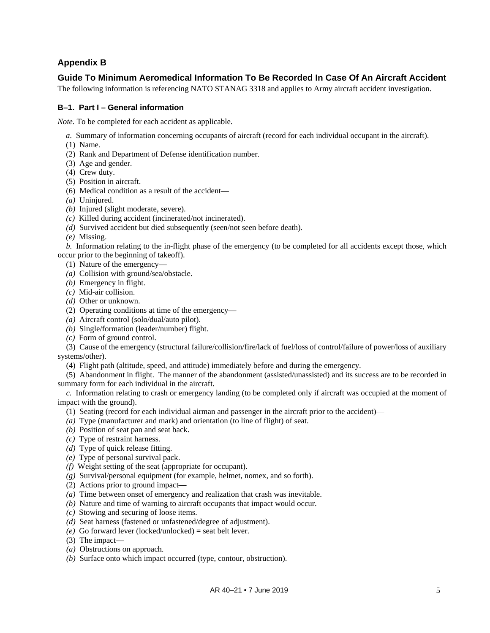# **Appendix B**

# <span id="page-8-0"></span>**Guide To Minimum Aeromedical Information To Be Recorded In Case Of An Aircraft Accident**

The following information is referencing NATO STANAG 3318 and applies to Army aircraft accident investigation.

#### **B–1. Part I – General information**

*Note.* To be completed for each accident as applicable.

*a.* Summary of information concerning occupants of aircraft (record for each individual occupant in the aircraft).

- (1) Name.
- (2) Rank and Department of Defense identification number.
- (3) Age and gender.
- (4) Crew duty.
- (5) Position in aircraft.
- (6) Medical condition as a result of the accident—
- *(a)* Uninjured.
- *(b)* Injured (slight moderate, severe).
- *(c)* Killed during accident (incinerated/not incinerated).
- *(d)* Survived accident but died subsequently (seen/not seen before death).
- *(e)* Missing.

*b.* Information relating to the in-flight phase of the emergency (to be completed for all accidents except those, which occur prior to the beginning of takeoff).

- (1) Nature of the emergency—
- *(a)* Collision with ground/sea/obstacle.
- *(b)* Emergency in flight.
- *(c)* Mid-air collision.
- *(d)* Other or unknown.
- (2) Operating conditions at time of the emergency—
- *(a)* Aircraft control (solo/dual/auto pilot).
- *(b)* Single/formation (leader/number) flight.
- *(c)* Form of ground control.

(3) Cause of the emergency (structural failure/collision/fire/lack of fuel/loss of control/failure of power/loss of auxiliary systems/other).

(4) Flight path (altitude, speed, and attitude) immediately before and during the emergency.

(5) Abandonment in flight. The manner of the abandonment (assisted/unassisted) and its success are to be recorded in summary form for each individual in the aircraft.

*c.* Information relating to crash or emergency landing (to be completed only if aircraft was occupied at the moment of impact with the ground).

- (1) Seating (record for each individual airman and passenger in the aircraft prior to the accident)—
- *(a)* Type (manufacturer and mark) and orientation (to line of flight) of seat.
- *(b)* Position of seat pan and seat back.
- *(c)* Type of restraint harness.
- *(d)* Type of quick release fitting.
- *(e)* Type of personal survival pack.
- *(f)* Weight setting of the seat (appropriate for occupant).
- *(g)* Survival/personal equipment (for example, helmet, nomex, and so forth).
- (2) Actions prior to ground impact—
- *(a)* Time between onset of emergency and realization that crash was inevitable.
- *(b)* Nature and time of warning to aircraft occupants that impact would occur.
- *(c)* Stowing and securing of loose items.
- *(d)* Seat harness (fastened or unfastened/degree of adjustment).
- *(e)* Go forward lever (locked/unlocked) = seat belt lever.
- (3) The impact—
- *(a)* Obstructions on approach.
- *(b)* Surface onto which impact occurred (type, contour, obstruction).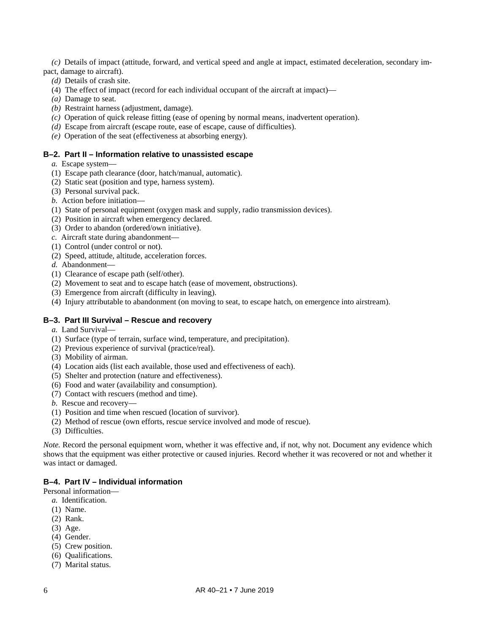*(c)* Details of impact (attitude, forward, and vertical speed and angle at impact, estimated deceleration, secondary impact, damage to aircraft).

- *(d)* Details of crash site.
- (4) The effect of impact (record for each individual occupant of the aircraft at impact)—
- *(a)* Damage to seat.
- *(b)* Restraint harness (adjustment, damage).
- *(c)* Operation of quick release fitting (ease of opening by normal means, inadvertent operation).
- *(d)* Escape from aircraft (escape route, ease of escape, cause of difficulties).
- *(e)* Operation of the seat (effectiveness at absorbing energy).

#### **B–2. Part II – Information relative to unassisted escape**

- *a.* Escape system—
- (1) Escape path clearance (door, hatch/manual, automatic).
- (2) Static seat (position and type, harness system).
- (3) Personal survival pack.
- *b.* Action before initiation—
- (1) State of personal equipment (oxygen mask and supply, radio transmission devices).
- (2) Position in aircraft when emergency declared.
- (3) Order to abandon (ordered/own initiative).
- *c.* Aircraft state during abandonment—
- (1) Control (under control or not).
- (2) Speed, attitude, altitude, acceleration forces.
- *d.* Abandonment—
- (1) Clearance of escape path (self/other).
- (2) Movement to seat and to escape hatch (ease of movement, obstructions).
- (3) Emergence from aircraft (difficulty in leaving).
- (4) Injury attributable to abandonment (on moving to seat, to escape hatch, on emergence into airstream).

#### **B–3. Part III Survival – Rescue and recovery**

- *a.* Land Survival—
- (1) Surface (type of terrain, surface wind, temperature, and precipitation).
- (2) Previous experience of survival (practice/real).
- (3) Mobility of airman.
- (4) Location aids (list each available, those used and effectiveness of each).
- (5) Shelter and protection (nature and effectiveness).
- (6) Food and water (availability and consumption).
- (7) Contact with rescuers (method and time).
- *b.* Rescue and recovery—
- (1) Position and time when rescued (location of survivor).
- (2) Method of rescue (own efforts, rescue service involved and mode of rescue).
- (3) Difficulties.

*Note.* Record the personal equipment worn, whether it was effective and, if not, why not. Document any evidence which shows that the equipment was either protective or caused injuries. Record whether it was recovered or not and whether it was intact or damaged.

#### **B–4. Part IV – Individual information**

Personal information—

- *a.* Identification.
- (1) Name.
- (2) Rank.
- (3) Age.
- (4) Gender.
- (5) Crew position.
- (6) Qualifications.
- (7) Marital status.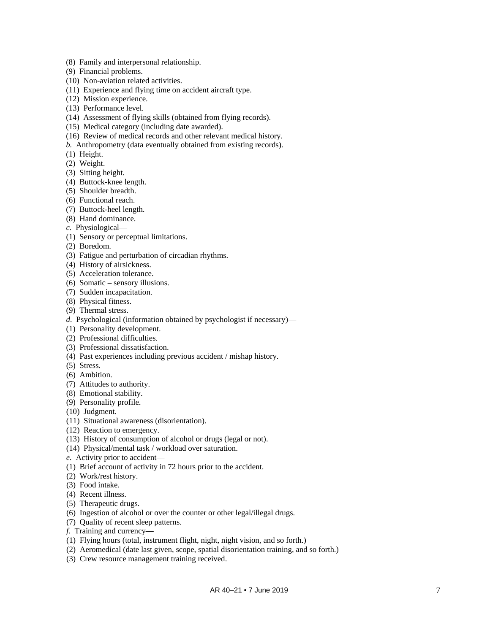- (8) Family and interpersonal relationship.
- (9) Financial problems.
- (10) Non -aviation related activities.
- (11) Experience and flying time on accident aircraft type.
- (12) Mission experience.
- (13) Performance level.
- (14) Assessment of flying skills (obtained from flying records).
- (15) Medical category (including date awarded).
- (16) Review of medical records and other relevant medical history.
- *b.* Anthropometry (data eventually obtained from existing records).
- (1) Height.
- (2) Weight.
- (3) Sitting height.
- (4) Buttock -knee length.
- (5) Shoulder breadth.
- (6) Functional reach.
- (7) Buttock -heel length.
- (8) Hand dominance.
- *c.* Physiological —
- (1) Sensory or perceptual limitations.
- (2) Boredom.
- (3) Fatigue and perturbation of circadian rhythms.
- (4) History of airsickness.
- (5) Acceleration tolerance.
- (6) Somatic sensory illusions.
- (7) Sudden incapacitation.
- (8) Physical fitness.
- (9) Thermal stress.
- *d.* Psychological (information obtained by psychologist if necessary) —
- (1) Personality development.
- (2) Professional difficulties.
- (3) Professional dissatisfaction.
- (4) Past experiences including previous accident / mishap history.
- (5) Stress.
- (6) Ambition.
- (7) Attitudes to authority.
- (8) Emotional stability.
- (9) Personality profile.
- (10) Judgment.
- (11) Situational awareness (disorientation).
- (12) Reaction to emergency.
- (13) History of consumption of alcohol or drugs (legal or not).
- (14) Physical/mental task / workload over saturation.
- *e.* Activity prior to accident—
- (1) Brief account of activity in 72 hours prior to the accident.
- (2) Work/rest history.
- (3) Food intake.
- (4) Recent illness.
- (5) Therapeutic drugs.
- (6) Ingestion of alcohol or over the counter or other legal/illegal drugs.
- (7) Quality of recent sleep patterns.
- *f.* Training and currency —
- (1) Flying hours (total, instrument flight, night, night vision, and so forth.)
- (2) Aeromedical (date last given, scope, spatial disorientation training, and so forth.)
- (3) Crew resource management training received.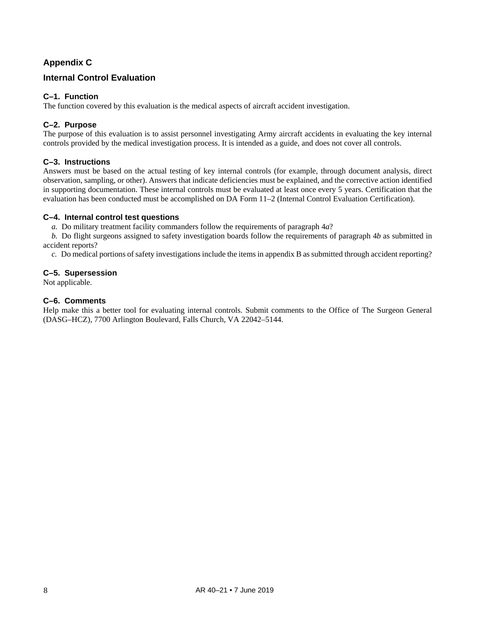# **Appendix C**

# <span id="page-11-0"></span>**Internal Control Evaluation**

# **C–1. Function**

The function covered by this evaluation is the medical aspects of aircraft accident investigation.

# **C–2. Purpose**

The purpose of this evaluation is to assist personnel investigating Army aircraft accidents in evaluating the key internal controls provided by the medical investigation process. It is intended as a guide, and does not cover all controls.

# **C–3. Instructions**

Answers must be based on the actual testing of key internal controls (for example, through document analysis, direct observation, sampling, or other). Answers that indicate deficiencies must be explained, and the corrective action identified in supporting documentation. These internal controls must be evaluated at least once every 5 years. Certification that the evaluation has been conducted must be accomplished on DA Form 11–2 (Internal Control Evaluation Certification).

#### **C–4. Internal control test questions**

*a.* Do military treatment facility commanders follow the requirements of [paragraph](#page-4-4) 4*a*?

*b.* Do flight surgeons assigned to safety investigation boards follow the requirements of [paragraph](#page-4-5) 4*b* as submitted in accident reports?

*c.* Do medical portions of safety investigations include the items i[n appendix](#page-8-0) B as submitted through accident reporting?

# **C–5. Supersession**

Not applicable.

#### **C–6. Comments**

Help make this a better tool for evaluating internal controls. Submit comments to the Office of The Surgeon General (DASG–HCZ), 7700 Arlington Boulevard, Falls Church, VA 22042–5144.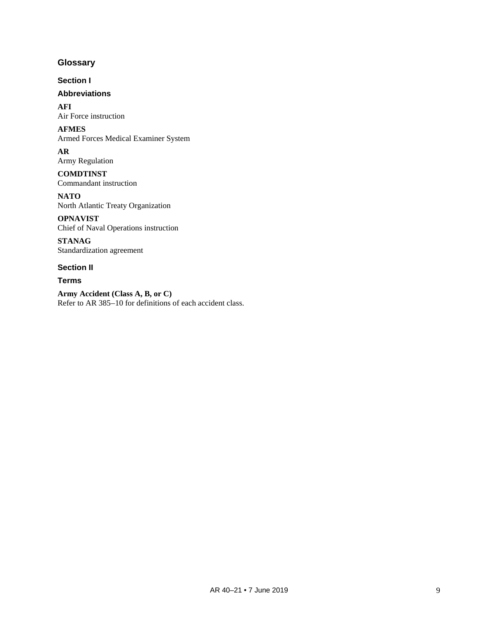# <span id="page-12-0"></span>**Glossary**

**Section I**

# **Abbreviations**

**AFI** Air Force instruction

**AFMES** Armed Forces Medical Examiner System

**AR** Army Regulation

**COMDTINST** Commandant instruction

**NATO** North Atlantic Treaty Organization

**OPNAVIST** Chief of Naval Operations instruction

**STANAG** Standardization agreement

# **Section II**

**Terms**

**Army Accident (Class A, B, or C)** Refer to AR 385–10 for definitions of each accident class.